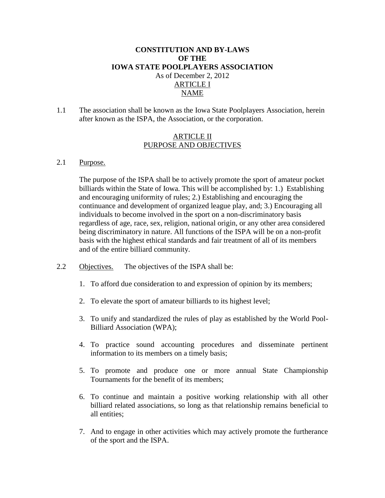## **CONSTITUTION AND BY-LAWS OF THE IOWA STATE POOLPLAYERS ASSOCIATION** As of December 2, 2012 ARTICLE I NAME

1.1 The association shall be known as the Iowa State Poolplayers Association, herein after known as the ISPA, the Association, or the corporation.

### ARTICLE II PURPOSE AND OBJECTIVES

#### 2.1 Purpose.

The purpose of the ISPA shall be to actively promote the sport of amateur pocket billiards within the State of Iowa. This will be accomplished by: 1.) Establishing and encouraging uniformity of rules; 2.) Establishing and encouraging the continuance and development of organized league play, and; 3.) Encouraging all individuals to become involved in the sport on a non-discriminatory basis regardless of age, race, sex, religion, national origin, or any other area considered being discriminatory in nature. All functions of the ISPA will be on a non-profit basis with the highest ethical standards and fair treatment of all of its members and of the entire billiard community.

- 2.2 Objectives. The objectives of the ISPA shall be:
	- 1. To afford due consideration to and expression of opinion by its members;
	- 2. To elevate the sport of amateur billiards to its highest level;
	- 3. To unify and standardized the rules of play as established by the World Pool-Billiard Association (WPA);
	- 4. To practice sound accounting procedures and disseminate pertinent information to its members on a timely basis;
	- 5. To promote and produce one or more annual State Championship Tournaments for the benefit of its members;
	- 6. To continue and maintain a positive working relationship with all other billiard related associations, so long as that relationship remains beneficial to all entities;
	- 7. And to engage in other activities which may actively promote the furtherance of the sport and the ISPA.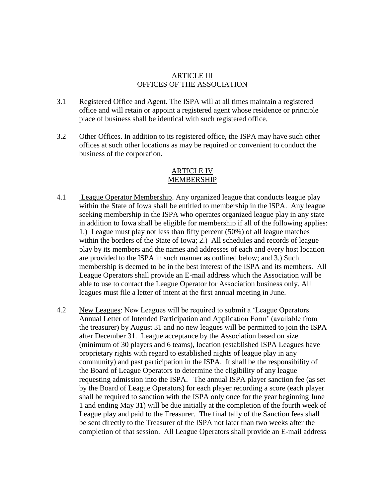#### ARTICLE III OFFICES OF THE ASSOCIATION

- 3.1 Registered Office and Agent. The ISPA will at all times maintain a registered office and will retain or appoint a registered agent whose residence or principle place of business shall be identical with such registered office.
- 3.2 Other Offices. In addition to its registered office, the ISPA may have such other offices at such other locations as may be required or convenient to conduct the business of the corporation.

#### ARTICLE IV MEMBERSHIP

- 4.1 League Operator Membership. Any organized league that conducts league play within the State of Iowa shall be entitled to membership in the ISPA. Any league seeking membership in the ISPA who operates organized league play in any state in addition to Iowa shall be eligible for membership if all of the following applies: 1.) League must play not less than fifty percent (50%) of all league matches within the borders of the State of Iowa; 2.) All schedules and records of league play by its members and the names and addresses of each and every host location are provided to the ISPA in such manner as outlined below; and 3.) Such membership is deemed to be in the best interest of the ISPA and its members. All League Operators shall provide an E-mail address which the Association will be able to use to contact the League Operator for Association business only. All leagues must file a letter of intent at the first annual meeting in June.
- 4.2 New Leagues: New Leagues will be required to submit a 'League Operators Annual Letter of Intended Participation and Application Form' (available from the treasurer) by August 31 and no new leagues will be permitted to join the ISPA after December 31. League acceptance by the Association based on size (minimum of 30 players and 6 teams), location (established ISPA Leagues have proprietary rights with regard to established nights of league play in any community) and past participation in the ISPA. It shall be the responsibility of the Board of League Operators to determine the eligibility of any league requesting admission into the ISPA. The annual ISPA player sanction fee (as set by the Board of League Operators) for each player recording a score (each player shall be required to sanction with the ISPA only once for the year beginning June 1 and ending May 31) will be due initially at the completion of the fourth week of League play and paid to the Treasurer. The final tally of the Sanction fees shall be sent directly to the Treasurer of the ISPA not later than two weeks after the completion of that session. All League Operators shall provide an E-mail address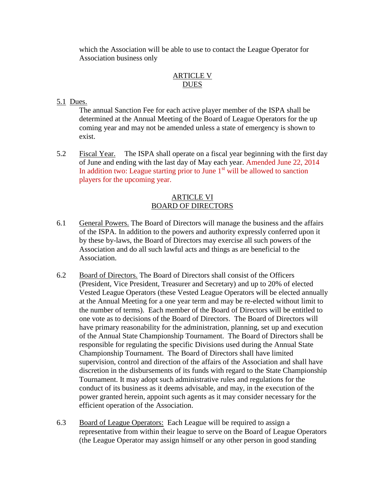which the Association will be able to use to contact the League Operator for Association business only

### ARTICLE V **DUES**

## 5.1 Dues.

 The annual Sanction Fee for each active player member of the ISPA shall be determined at the Annual Meeting of the Board of League Operators for the up coming year and may not be amended unless a state of emergency is shown to exist.

5.2 Fiscal Year. The ISPA shall operate on a fiscal year beginning with the first day of June and ending with the last day of May each year. Amended June 22, 2014 In addition two: League starting prior to June  $1<sup>st</sup>$  will be allowed to sanction players for the upcoming year.

### ARTICLE VI BOARD OF DIRECTORS

- 6.1 General Powers. The Board of Directors will manage the business and the affairs of the ISPA. In addition to the powers and authority expressly conferred upon it by these by-laws, the Board of Directors may exercise all such powers of the Association and do all such lawful acts and things as are beneficial to the Association.
- 6.2 Board of Directors. The Board of Directors shall consist of the Officers (President, Vice President, Treasurer and Secretary) and up to 20% of elected Vested League Operators (these Vested League Operators will be elected annually at the Annual Meeting for a one year term and may be re-elected without limit to the number of terms). Each member of the Board of Directors will be entitled to one vote as to decisions of the Board of Directors. The Board of Directors will have primary reasonability for the administration, planning, set up and execution of the Annual State Championship Tournament. The Board of Directors shall be responsible for regulating the specific Divisions used during the Annual State Championship Tournament. The Board of Directors shall have limited supervision, control and direction of the affairs of the Association and shall have discretion in the disbursements of its funds with regard to the State Championship Tournament. It may adopt such administrative rules and regulations for the conduct of its business as it deems advisable, and may, in the execution of the power granted herein, appoint such agents as it may consider necessary for the efficient operation of the Association.
- 6.3 Board of League Operators: Each League will be required to assign a representative from within their league to serve on the Board of League Operators (the League Operator may assign himself or any other person in good standing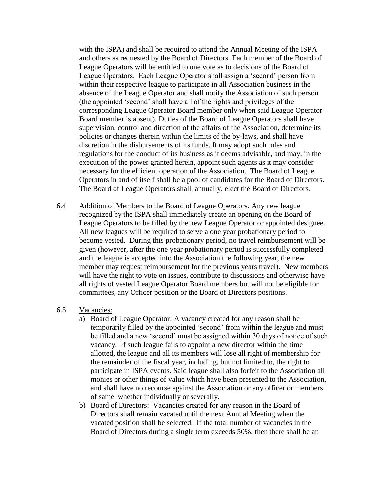with the ISPA) and shall be required to attend the Annual Meeting of the ISPA and others as requested by the Board of Directors. Each member of the Board of League Operators will be entitled to one vote as to decisions of the Board of League Operators. Each League Operator shall assign a 'second' person from within their respective league to participate in all Association business in the absence of the League Operator and shall notify the Association of such person (the appointed 'second' shall have all of the rights and privileges of the corresponding League Operator Board member only when said League Operator Board member is absent). Duties of the Board of League Operators shall have supervision, control and direction of the affairs of the Association, determine its policies or changes therein within the limits of the by-laws, and shall have discretion in the disbursements of its funds. It may adopt such rules and regulations for the conduct of its business as it deems advisable, and may, in the execution of the power granted herein, appoint such agents as it may consider necessary for the efficient operation of the Association. The Board of League Operators in and of itself shall be a pool of candidates for the Board of Directors. The Board of League Operators shall, annually, elect the Board of Directors.

6.4 Addition of Members to the Board of League Operators. Any new league recognized by the ISPA shall immediately create an opening on the Board of League Operators to be filled by the new League Operator or appointed designee. All new leagues will be required to serve a one year probationary period to become vested. During this probationary period, no travel reimbursement will be given (however, after the one year probationary period is successfully completed and the league is accepted into the Association the following year, the new member may request reimbursement for the previous years travel). New members will have the right to vote on issues, contribute to discussions and otherwise have all rights of vested League Operator Board members but will not be eligible for committees, any Officer position or the Board of Directors positions.

#### 6.5 Vacancies:

- a) Board of League Operator: A vacancy created for any reason shall be temporarily filled by the appointed 'second' from within the league and must be filled and a new 'second' must be assigned within 30 days of notice of such vacancy. If such league fails to appoint a new director within the time allotted, the league and all its members will lose all right of membership for the remainder of the fiscal year, including, but not limited to, the right to participate in ISPA events. Said league shall also forfeit to the Association all monies or other things of value which have been presented to the Association, and shall have no recourse against the Association or any officer or members of same, whether individually or severally.
- b) Board of Directors: Vacancies created for any reason in the Board of Directors shall remain vacated until the next Annual Meeting when the vacated position shall be selected. If the total number of vacancies in the Board of Directors during a single term exceeds 50%, then there shall be an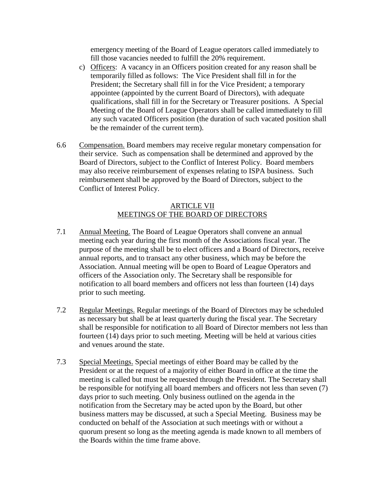emergency meeting of the Board of League operators called immediately to fill those vacancies needed to fulfill the 20% requirement.

- c) Officers: A vacancy in an Officers position created for any reason shall be temporarily filled as follows: The Vice President shall fill in for the President; the Secretary shall fill in for the Vice President; a temporary appointee (appointed by the current Board of Directors), with adequate qualifications, shall fill in for the Secretary or Treasurer positions. A Special Meeting of the Board of League Operators shall be called immediately to fill any such vacated Officers position (the duration of such vacated position shall be the remainder of the current term).
- 6.6 Compensation. Board members may receive regular monetary compensation for their service. Such as compensation shall be determined and approved by the Board of Directors, subject to the Conflict of Interest Policy. Board members may also receive reimbursement of expenses relating to ISPA business. Such reimbursement shall be approved by the Board of Directors, subject to the Conflict of Interest Policy.

### ARTICLE VII MEETINGS OF THE BOARD OF DIRECTORS

- 7.1 Annual Meeting. The Board of League Operators shall convene an annual meeting each year during the first month of the Associations fiscal year. The purpose of the meeting shall be to elect officers and a Board of Directors, receive annual reports, and to transact any other business, which may be before the Association. Annual meeting will be open to Board of League Operators and officers of the Association only. The Secretary shall be responsible for notification to all board members and officers not less than fourteen (14) days prior to such meeting.
- 7.2 Regular Meetings. Regular meetings of the Board of Directors may be scheduled as necessary but shall be at least quarterly during the fiscal year. The Secretary shall be responsible for notification to all Board of Director members not less than fourteen (14) days prior to such meeting. Meeting will be held at various cities and venues around the state.
- 7.3 Special Meetings. Special meetings of either Board may be called by the President or at the request of a majority of either Board in office at the time the meeting is called but must be requested through the President. The Secretary shall be responsible for notifying all board members and officers not less than seven (7) days prior to such meeting. Only business outlined on the agenda in the notification from the Secretary may be acted upon by the Board, but other business matters may be discussed, at such a Special Meeting. Business may be conducted on behalf of the Association at such meetings with or without a quorum present so long as the meeting agenda is made known to all members of the Boards within the time frame above.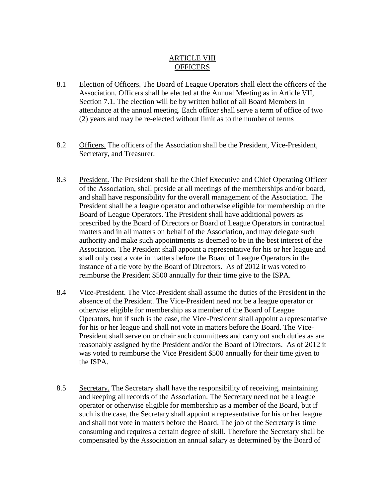### ARTICLE VIII **OFFICERS**

- 8.1 Election of Officers. The Board of League Operators shall elect the officers of the Association. Officers shall be elected at the Annual Meeting as in Article VII, Section 7.1. The election will be by written ballot of all Board Members in attendance at the annual meeting. Each officer shall serve a term of office of two (2) years and may be re-elected without limit as to the number of terms
- 8.2 Officers. The officers of the Association shall be the President, Vice-President, Secretary, and Treasurer.
- 8.3 President. The President shall be the Chief Executive and Chief Operating Officer of the Association, shall preside at all meetings of the memberships and/or board, and shall have responsibility for the overall management of the Association. The President shall be a league operator and otherwise eligible for membership on the Board of League Operators. The President shall have additional powers as prescribed by the Board of Directors or Board of League Operators in contractual matters and in all matters on behalf of the Association, and may delegate such authority and make such appointments as deemed to be in the best interest of the Association. The President shall appoint a representative for his or her league and shall only cast a vote in matters before the Board of League Operators in the instance of a tie vote by the Board of Directors. As of 2012 it was voted to reimburse the President \$500 annually for their time give to the ISPA.
- 8.4 Vice-President. The Vice-President shall assume the duties of the President in the absence of the President. The Vice-President need not be a league operator or otherwise eligible for membership as a member of the Board of League Operators, but if such is the case, the Vice-President shall appoint a representative for his or her league and shall not vote in matters before the Board. The Vice-President shall serve on or chair such committees and carry out such duties as are reasonably assigned by the President and/or the Board of Directors. As of 2012 it was voted to reimburse the Vice President \$500 annually for their time given to the ISPA.
- 8.5 Secretary. The Secretary shall have the responsibility of receiving, maintaining and keeping all records of the Association. The Secretary need not be a league operator or otherwise eligible for membership as a member of the Board, but if such is the case, the Secretary shall appoint a representative for his or her league and shall not vote in matters before the Board. The job of the Secretary is time consuming and requires a certain degree of skill. Therefore the Secretary shall be compensated by the Association an annual salary as determined by the Board of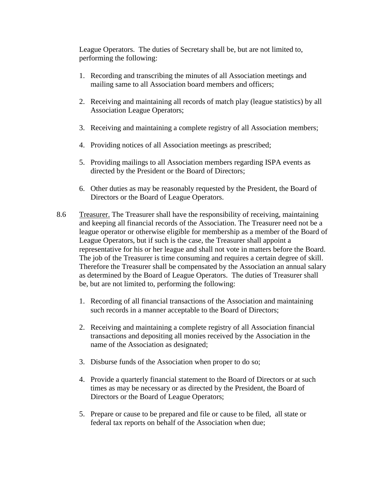League Operators. The duties of Secretary shall be, but are not limited to, performing the following:

- 1. Recording and transcribing the minutes of all Association meetings and mailing same to all Association board members and officers;
- 2. Receiving and maintaining all records of match play (league statistics) by all Association League Operators;
- 3. Receiving and maintaining a complete registry of all Association members;
- 4. Providing notices of all Association meetings as prescribed;
- 5. Providing mailings to all Association members regarding ISPA events as directed by the President or the Board of Directors;
- 6. Other duties as may be reasonably requested by the President, the Board of Directors or the Board of League Operators.
- 8.6 Treasurer. The Treasurer shall have the responsibility of receiving, maintaining and keeping all financial records of the Association. The Treasurer need not be a league operator or otherwise eligible for membership as a member of the Board of League Operators, but if such is the case, the Treasurer shall appoint a representative for his or her league and shall not vote in matters before the Board. The job of the Treasurer is time consuming and requires a certain degree of skill. Therefore the Treasurer shall be compensated by the Association an annual salary as determined by the Board of League Operators. The duties of Treasurer shall be, but are not limited to, performing the following:
	- 1. Recording of all financial transactions of the Association and maintaining such records in a manner acceptable to the Board of Directors;
	- 2. Receiving and maintaining a complete registry of all Association financial transactions and depositing all monies received by the Association in the name of the Association as designated;
	- 3. Disburse funds of the Association when proper to do so;
	- 4. Provide a quarterly financial statement to the Board of Directors or at such times as may be necessary or as directed by the President, the Board of Directors or the Board of League Operators;
	- 5. Prepare or cause to be prepared and file or cause to be filed, all state or federal tax reports on behalf of the Association when due;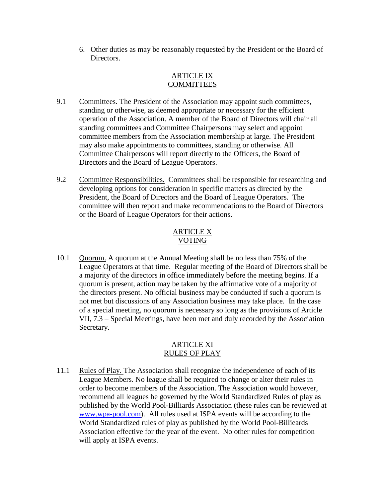6. Other duties as may be reasonably requested by the President or the Board of Directors.

#### ARTICLE IX **COMMITTEES**

- 9.1 Committees. The President of the Association may appoint such committees, standing or otherwise, as deemed appropriate or necessary for the efficient operation of the Association. A member of the Board of Directors will chair all standing committees and Committee Chairpersons may select and appoint committee members from the Association membership at large. The President may also make appointments to committees, standing or otherwise. All Committee Chairpersons will report directly to the Officers, the Board of Directors and the Board of League Operators.
- 9.2 Committee Responsibilities. Committees shall be responsible for researching and developing options for consideration in specific matters as directed by the President, the Board of Directors and the Board of League Operators. The committee will then report and make recommendations to the Board of Directors or the Board of League Operators for their actions.

## ARTICLE X VOTING

10.1 Quorum. A quorum at the Annual Meeting shall be no less than 75% of the League Operators at that time. Regular meeting of the Board of Directors shall be a majority of the directors in office immediately before the meeting begins. If a quorum is present, action may be taken by the affirmative vote of a majority of the directors present. No official business may be conducted if such a quorum is not met but discussions of any Association business may take place. In the case of a special meeting, no quorum is necessary so long as the provisions of Article VII, 7.3 – Special Meetings, have been met and duly recorded by the Association Secretary.

### ARTICLE XI RULES OF PLAY

11.1 Rules of Play. The Association shall recognize the independence of each of its League Members. No league shall be required to change or alter their rules in order to become members of the Association. The Association would however, recommend all leagues be governed by the World Standardized Rules of play as published by the World Pool-Billiards Association (these rules can be reviewed at [www.wpa-pool.com\)](http://www.wpa-pool.com/). All rules used at ISPA events will be according to the World Standardized rules of play as published by the World Pool-Billieards Association effective for the year of the event. No other rules for competition will apply at ISPA events.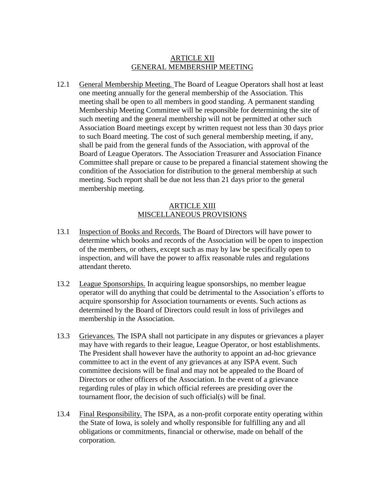#### ARTICLE XII GENERAL MEMBERSHIP MEETING

12.1 General Membership Meeting. The Board of League Operators shall host at least one meeting annually for the general membership of the Association. This meeting shall be open to all members in good standing. A permanent standing Membership Meeting Committee will be responsible for determining the site of such meeting and the general membership will not be permitted at other such Association Board meetings except by written request not less than 30 days prior to such Board meeting. The cost of such general membership meeting, if any, shall be paid from the general funds of the Association, with approval of the Board of League Operators. The Association Treasurer and Association Finance Committee shall prepare or cause to be prepared a financial statement showing the condition of the Association for distribution to the general membership at such meeting. Such report shall be due not less than 21 days prior to the general membership meeting.

#### ARTICLE XIII MISCELLANEOUS PROVISIONS

- 13.1 Inspection of Books and Records. The Board of Directors will have power to determine which books and records of the Association will be open to inspection of the members, or others, except such as may by law be specifically open to inspection, and will have the power to affix reasonable rules and regulations attendant thereto.
- 13.2 League Sponsorships. In acquiring league sponsorships, no member league operator will do anything that could be detrimental to the Association's efforts to acquire sponsorship for Association tournaments or events. Such actions as determined by the Board of Directors could result in loss of privileges and membership in the Association.
- 13.3 Grievances. The ISPA shall not participate in any disputes or grievances a player may have with regards to their league, League Operator, or host establishments. The President shall however have the authority to appoint an ad-hoc grievance committee to act in the event of any grievances at any ISPA event. Such committee decisions will be final and may not be appealed to the Board of Directors or other officers of the Association. In the event of a grievance regarding rules of play in which official referees are presiding over the tournament floor, the decision of such official(s) will be final.
- 13.4 Final Responsibility. The ISPA, as a non-profit corporate entity operating within the State of Iowa, is solely and wholly responsible for fulfilling any and all obligations or commitments, financial or otherwise, made on behalf of the corporation.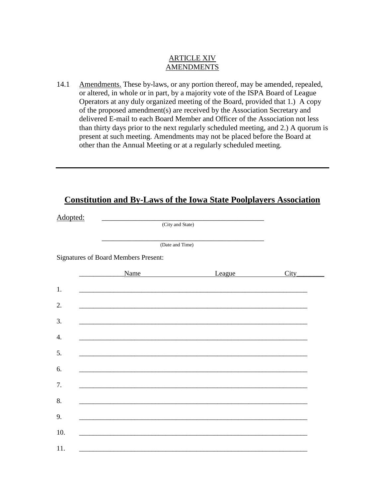### ARTICLE XIV AMENDMENTS

14.1 Amendments. These by-laws, or any portion thereof, may be amended, repealed, or altered, in whole or in part, by a majority vote of the ISPA Board of League Operators at any duly organized meeting of the Board, provided that 1.) A copy of the proposed amendment(s) are received by the Association Secretary and delivered E-mail to each Board Member and Officer of the Association not less than thirty days prior to the next regularly scheduled meeting, and 2.) A quorum is present at such meeting. Amendments may not be placed before the Board at other than the Annual Meeting or at a regularly scheduled meeting.

# **Constitution and By-Laws of the Iowa State Poolplayers Association**

|                                             | (City and State) |                 |  |  |  |  |  |  |
|---------------------------------------------|------------------|-----------------|--|--|--|--|--|--|
|                                             |                  |                 |  |  |  |  |  |  |
| <b>Signatures of Board Members Present:</b> |                  |                 |  |  |  |  |  |  |
| Name                                        | League           | City            |  |  |  |  |  |  |
|                                             |                  |                 |  |  |  |  |  |  |
|                                             |                  |                 |  |  |  |  |  |  |
|                                             |                  |                 |  |  |  |  |  |  |
|                                             |                  |                 |  |  |  |  |  |  |
|                                             |                  |                 |  |  |  |  |  |  |
|                                             |                  |                 |  |  |  |  |  |  |
|                                             |                  |                 |  |  |  |  |  |  |
|                                             |                  |                 |  |  |  |  |  |  |
|                                             |                  |                 |  |  |  |  |  |  |
|                                             |                  |                 |  |  |  |  |  |  |
|                                             |                  |                 |  |  |  |  |  |  |
|                                             |                  | (Date and Time) |  |  |  |  |  |  |